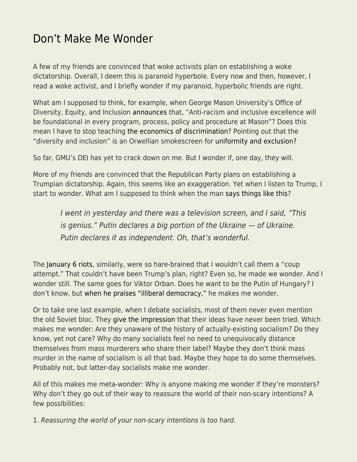## [Don't Make Me Wonder](https://everything-voluntary.com/dont-make-me-wonder)

A few of my friends are convinced that woke activists plan on establishing a woke dictatorship. Overall, I deem this is paranoid hyperbole. Every now and then, however, I read a woke activist, and I briefly wonder if my paranoid, hyperbolic friends are right.

What am I supposed to think, for example, when George Mason University's Office of Diversity, Equity, and Inclusion [announces](http://bov.gmu.edu/wp-content/uploads/Meeting-Book-Presidents-Planning-Conference-July-29-2021-2.pdf) that, "Anti-racism and inclusive excellence will be foundational in every program, process, policy and procedure at Mason"? Does this mean I have to stop teaching [the economics of discrimination](http://econfaculty.gmu.edu/bcaplan/e321/lab7.pdf)? Pointing out that the "diversity and inclusion" is an Orwellian smokescreen for [uniformity and exclusion?](https://www.econlib.org/?p=49178)

So far, GMU's DEI has yet to crack down on me. But I wonder if, one day, they will.

More of my friends are convinced that the Republican Party plans on establishing a Trumpian dictatorship. Again, this seems like an exaggeration. Yet when I listen to Trump, I start to wonder. What am I supposed to think when the man [says things like this](https://archive.ph/eDBms)?

I went in yesterday and there was a television screen, and I said, "This is genius." Putin declares a big portion of the Ukraine — of Ukraine. Putin declares it as independent. Oh, that's wonderful.

The [January 6 riots,](https://en.wikipedia.org/wiki/2021_United_States_Capitol_attack) similarly, were so hare-brained that I wouldn't call them a "coup attempt." That couldn't have been Trump's plan, right? Even so, he made we wonder. And I wonder still. The same goes for Viktor Orban. Does he want to be the Putin of Hungary? I don't know, but [when he praises "illiberal democracy,"](https://www.economist.com/briefing/2019/08/29/how-viktor-orban-hollowed-out-hungarys-democracy) he makes me wonder.

Or to take one last example, when I debate socialists, most of them never even mention the old Soviet bloc. They [give the impression](https://www.econlib.org/?p=46217) that their ideas have never been tried. Which makes me wonder: Are they unaware of the history of actually-existing socialism? Do they know, yet not care? Why do many socialists feel no need to unequivocally distance themselves from mass murderers who share their label? Maybe they don't think mass murder in the name of socialism is all that bad. Maybe they hope to do some themselves. Probably not, but latter-day socialists make me wonder.

All of this makes me meta-wonder: Why is anyone making me wonder if they're monsters? Why don't they go out of their way to reassure the world of their non-scary intentions? A few possibilities:

1. Reassuring the world of your non-scary intentions is too hard.